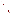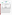## **THE ENVIRONMENTAL TECHNOLOGY VERIFICATION**







# **ETV Joint Verification Statement**

| AMBIENT HYDROGEN SULFIDE ANALYZER                                                              |                                             |
|------------------------------------------------------------------------------------------------|---------------------------------------------|
| <b>MEASURING HYDROGEN SULFIDE</b><br><b>CONCENTRATIONS AT A SWINE FINISHING</b><br><b>FARM</b> |                                             |
| APSA-360                                                                                       |                                             |
| Horiba Instruments, Inc.                                                                       |                                             |
| 17671 Armstrong Avenue                                                                         | PHONE: 949-250-4811<br>949-476-1293<br>FAX: |
| www.hii.horiba.com/<br>dick.bates@horiba.com                                                   |                                             |
|                                                                                                | Irvine, California 92614                    |

The U.S. Environmental Protection Agency (EPA) supports the Environmental Technology Verification (ETV) Program to facilitate the deployment of innovative or improved environmental technologies through performance verification and dissemination of information. The goal of the ETV Program is to further environmental protection by accelerating the acceptance and use of improved and cost-effective technologies. ETV seeks to achieve this goal by providing high-quality, peer-reviewed data on technology performance to those involved in the design, distribution, financing, permitting, purchase, and use of environmental technologies. Information and ETV documents are available at www.epa.gov/etv.

ETV works in partnership with recognized standards and testing organizations, with stakeholder groups (consisting of buyers, vendor organizations, and permitters), and with individual technology developers. The program evaluates the performance of innovative technologies by developing test plans that are responsive to the needs of stakeholders, conducting field or laboratory tests (as appropriate), collecting and analyzing data, and preparing peer-reviewed reports. All evaluations are conducted in accordance with rigorous quality assurance (QA) protocols to ensure that data of known and adequate quality are generated and that the results are defensible.

The Advanced Monitoring Systems (AMS) Center, one of six verification centers under ETV, is operated by Battelle in cooperation with EPA's National Exposure Research Laboratory. In collaboration with the U.S. Department of Agriculture (USDA) and Applied Measurement Science, the AMS Center evaluated the performance of hydrogen sulfide  $(H<sub>2</sub>S)$  monitors to measure ambient  $H<sub>2</sub>S$  concentrations. This verification statement provides a summary of the test results for the Horiba Instruments, Inc., APSA-360 ambient H<sub>2</sub>S analyzer.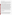### **VERIFICATION TEST DESCRIPTION**

The objective of this verification test was to evaluate the APSA-360's performance in measuring gaseous H<sub>2</sub>S in ambient air at an animal feeding operation (AFO). The verification test was conducted between April 25 and June 3, 2005, at a swine finishing farm near Ames, Iowa; the APSA-360 operated at the test site from May 16 through June 3, 2005 (Weeks 4, 5, and 6 of the verification test). This site was selected to provide realistic testing conditions and was expected to exhibit a wide range of H<sub>2</sub>S concentrations during the test period. The verification test was designed to evaluate accuracy, bias, precision, linearity, span and zero drift, response time, interference effects, comparability, data completeness, and operational factors.

The APSA-360 response to a series of  $H_2S$  gas standards was used to evaluate accuracy, bias, precision, and linearity. The APSA-360 was factory-calibrated prior to this verification test and verified with a 400-part-perbillion (ppb) dilution from an H<sub>2</sub>S gas standard  $[100$  parts per million (ppm) H<sub>2</sub>S] that was independent of the gas standard (5.12 ppm H<sub>2</sub>S) used for performing this verification test. All gas standard dilutions were prepared using the same dynamic dilution system. Each gas standard dilution was delivered in triplicate, and the series of gas standards was delivered twice during the verification test. Accuracy was calculated at each concentration and for each replicate relative to the nominal H<sub>2</sub>S concentration. Bias was calculated for each series of multipoint H<sub>2</sub>S challenges. Precision was demonstrated by the reproducibility of the APSA-360 response at each nominal H2S concentration. Linearity was assessed by establishing a multipoint calibration curve from the APSA-360 responses. The baseline response of the APSA-360 to zero air and a 30-ppb dilution of a compressed H<sub>2</sub>S gas standard was determined during the first day of testing, which, for the APSA-360, occurred in Week 4 of the verification test. At least twice each week, zero air and a 30-ppb H2S standard were supplied to the APSA-360 for 20 minutes for a total of 7 zero/span checks. (Results from two span checks could not be used to evaluate drift because the gas standard dilution system was not flushed before performing the span checks.) Each response was compared to the Week 4 baseline response to determine whether drift occurred in the response to zero air or the 30-ppb H2S standard. The data collected during the zero/span baseline response check were used to determine the APSA-360 response time. To determine interference effects, the APSA-360 was challenged with a series of gases (supplied at either 100 or 500 ppb in the presence and absence of 100 ppb of  $H<sub>2</sub>$ S) that may be present at an AFO and could interfere with the APSA-360 response to H<sub>2</sub>S. The comparability of the APSA-360 response to ambient air was evaluated by comparing its response to two H2S reference methods (time-integrated and *in situ*), which were carried out by USDA and Applied Measurement Science. The two reference methods were based on American Society for Testing and Materials Method D5504-01, with pulsed flame photometric detection substituted for sulfur chemiluminescence detection. Operational factors such as maintenance needs, data output, consumables used, ease of use, and repair requirements were evaluated based on the observations of Battelle and USDA staff. Data completeness was assessed based on the overall data return achieved by the APSA-360.

QA oversight of verification testing was provided by Battelle and EPA. Battelle QA staff conducted a technical systems audit, a performance evaluation audit, and a data quality audit of 10% of the test data. This verification statement, the full report on which it is based, and the test/QA plan for this verification test are all available at www.epa.gov/etv/centers/center1.html.

#### **TECHNOLOGY DESCRIPTION**

The following description of the APSA-360 was provided by the vendor and does not represent verified information.

The APSA-360 continuously measures the concentration of H<sub>2</sub>S (including other sulfide compounds) in ambient air using an  $H<sub>2</sub>S$  converter and sulfur dioxide (SO<sub>2</sub>) ultraviolet luminescence as the measurement principle. A hydrocarbon reduction membrane eliminates hydrocarbon interference in the sample gas. The APSA-360 can be configured to measure  $SO_2$  and/or  $H_2S$  by switching measuring lines into and out of the built-in  $H_2S$  converter at regular intervals or with the measuring line fixed to  $SO<sub>2</sub>$  or H<sub>2</sub>S. The APSA-360 verified in this test was configured to measure only H<sub>2</sub>S. The basic system can be operated by controls on the front panel when it is connected to a calibration gas, but it can also be upgraded for remote monitoring by adding a computer, a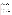controller, and a recorder using the APSA-360 AP-Remote software for Microsoft Windows. The APSA-360 can be calibrated automatically or manually and has a lower detection limit of 4 ppb.

Data logged by the AP-Remote software can be exported into Microsoft Excel. The APSA-360 has internal storage for up to several weeks of data depending on the sample rate. The data are accessible by the front panel or the AP-Remote software. Data may also be recorded by an external data logger that is connected to the analog and digital outputs of the APSA-360. As configured for the verification test, the  $4-20$  mA instantaneous H<sub>2</sub>S reading was output to an analog input channel of a Campbell Scientific Model CR43 data logger that was made available by the USDA. The data logger program sampled the APSA-360 signal every 10 seconds and recorded one-minute averages calculated from six instantaneous readings. The external data logger was used for the verification test because the AP-Remote software at the time was operational only for the Horiba ambient carbon monoxide, nitrogen oxides, SO<sub>2</sub> (only Model APSA-360CE), ozone, and total hydrocarbon analyzers. In the future, AP-Remote will be available for the APSA-360 H<sub>2</sub>S Analyzer.

The APSA-360 weighs 25 kilograms (55 pounds); it is 221 millimeters (mm, 8.7 inches) high, 430 mm (17 inches) wide, and 550 mm (22.7 inches) deep (excluding front and rear extrusions). The list price of the APSA-360 H<sub>2</sub>S-only analyzer is approximately \$18,000. The APSA-360 that alternately measures  $SO_2$  and H<sub>2</sub>S is list priced at approximately \$24,000.

# **VERIFICATION OF PERFORMANCE**

**Accuracy:** The accuracy of the APSA-360 was assessed over the range of 30 ppb to 300 ppb in terms of percent recovery (%R), which ranged from 106% to 133%, with an average of 128% for the Week 4 check. The APSA-360 %R values for the Week 5 check ranged from 120% to 135%, with an average of 131%.

**Bias:** The APSA-360 bias (average percent difference) observed during the Week 4 and Week 5 accuracy checks (30 ppb to 300 ppb) was +28% and +31%, respectively. The consistently high bias is indicative of systematic error, which would also affect the APSA-360 accuracy and could be caused by a number of factors, including, but not limited to, differences in  $H_2S$  gas standards used for calibration and testing activities, the gas standard dilution system, and APSA-360 instrumental errors.

**Precision:** The precision of the APSA-360 reading varied from 0.4% to 7.5% (percent relative standard deviation) during the Week 4 accuracy check and from 0.1% to 1.6% during the Week 5 accuracy check. The average precision calculated from each check was 2.2% and 0.5% for Weeks 4 and 5, respectively.

**Linearity:** Linearity was evaluated in terms of slope, intercept, and  $r^2$  over the range from 0 ppb to 300 ppb  $H_2S$ . For Week 4, the slope of the regression line was 1.33 ( $\pm$  0.02), with an intercept of  $-2.56 (\pm 3.62)$  and r<sup>2</sup> value of 0.9998. (The 95% confidence interval is reported in parentheses.) During Week 5, the linear regression showed a slope of 1.35 ( $\pm$  0.01), an intercept -2.47 ( $\pm$  1.76), and an r<sup>2</sup> of 1.000.

**Span and Zero Drift:** For this verification test, drift was defined as three consecutive drift check results that fell outside of the warning limit ( $\pm 2$  standard deviations) calculated for zero ( $-1.3$  ppb to  $-0.9$  ppb) and a 30-ppb span gas (34.6 to 35.5 ppb). Seven drift checks were conducted over a period of two weeks. Drift was not observed in the APSA-360 response to zero air. The last three span drift checks fell above the warning limit, indicating that drift in the APSA-360 response to the 30-ppb H<sub>2</sub>S span gas did occur. The final span drift check value was 1.4 ppb greater than the baseline response.

**Response Time:** The average 95% rise time was 5 minutes, and the average 95% fall time was 4 minutes.

**Interference Effects:** No interference effect was observed in the APSA-360 response to SO<sub>2</sub>, a blend of C1 to C6 alkanes, and ammonia. The APSA-360 showed an interference effect for carbonyl sulfide in zero air of 31% and in 100 ppb H<sub>2</sub>S of 10%. Carbon disulfide and dimethyl sulfide resulted in an interference effect of 2% to 5%. The interference effect for methyl mercaptan was 59% in zero air and 63% in 100 ppb H<sub>2</sub>S.

**Comparability:** Comparability was evaluated in terms of the slope, intercept, and  $r^2$  of a linear regression analysis of the APSA-360 averages versus the reference measurements and was calculated separately for the